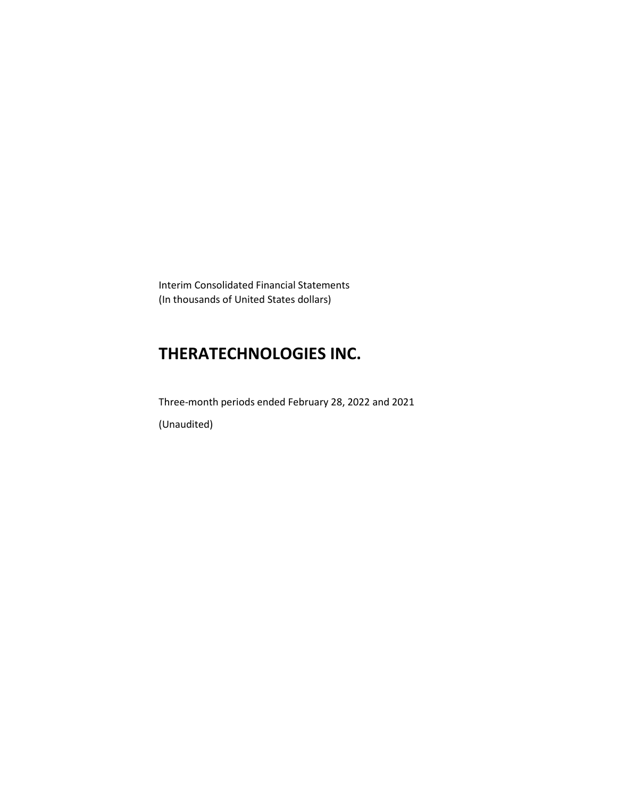Interim Consolidated Financial Statements (In thousands of United States dollars)

# **THERATECHNOLOGIES INC.**

Three-month periods ended February 28, 2022 and 2021 (Unaudited)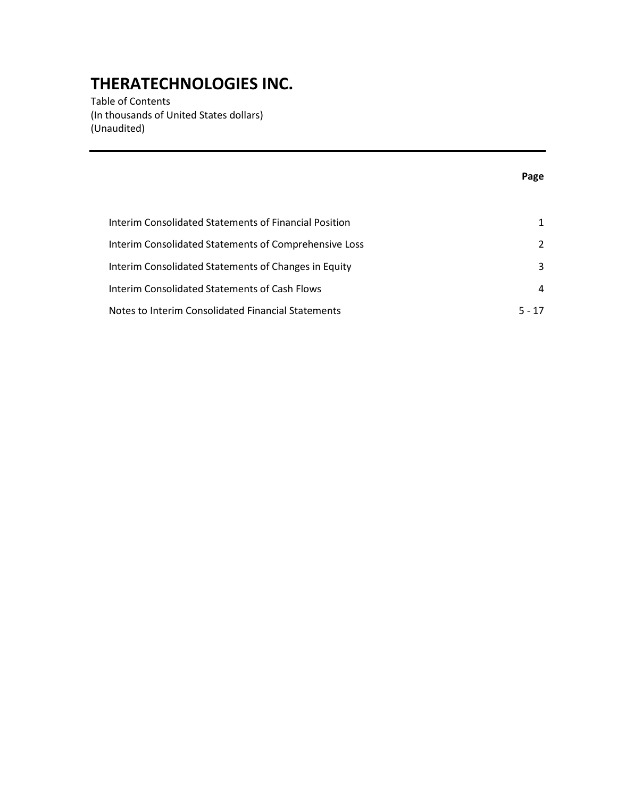Table of Contents (In thousands of United States dollars) (Unaudited)

### **Page**

| Interim Consolidated Statements of Financial Position |               |
|-------------------------------------------------------|---------------|
| Interim Consolidated Statements of Comprehensive Loss | $\mathcal{P}$ |
| Interim Consolidated Statements of Changes in Equity  | 3             |
| Interim Consolidated Statements of Cash Flows         | 4             |
| Notes to Interim Consolidated Financial Statements    | $5 - 17$      |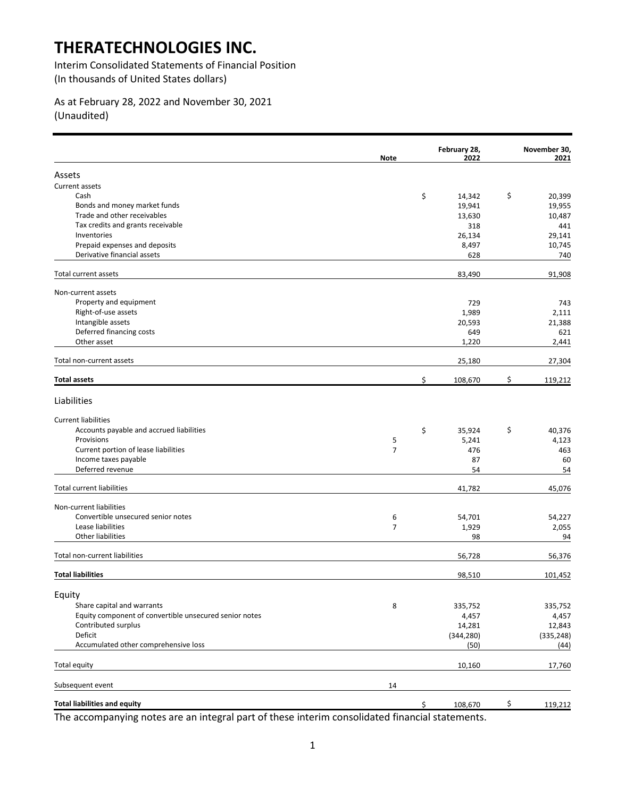Interim Consolidated Statements of Financial Position (In thousands of United States dollars)

### As at February 28, 2022 and November 30, 2021 (Unaudited)

|                                                        | <b>Note</b>         | February 28,<br>2022 | November 30,<br>2021 |
|--------------------------------------------------------|---------------------|----------------------|----------------------|
| Assets                                                 |                     |                      |                      |
| Current assets                                         |                     |                      |                      |
| Cash                                                   |                     | \$<br>14,342         | \$<br>20,399         |
| Bonds and money market funds                           |                     | 19,941               | 19,955               |
| Trade and other receivables                            |                     | 13,630               | 10,487               |
| Tax credits and grants receivable                      |                     | 318                  | 441                  |
| Inventories                                            |                     | 26,134               | 29,141               |
| Prepaid expenses and deposits                          |                     | 8,497                | 10,745               |
| Derivative financial assets                            |                     | 628                  | 740                  |
| Total current assets                                   |                     | 83,490               | 91,908               |
| Non-current assets                                     |                     |                      |                      |
| Property and equipment                                 |                     | 729                  | 743                  |
| Right-of-use assets                                    |                     | 1,989                | 2,111                |
| Intangible assets                                      |                     | 20,593               | 21,388               |
| Deferred financing costs                               |                     | 649                  | 621                  |
| Other asset                                            |                     | 1,220                | 2,441                |
| Total non-current assets                               |                     | 25,180               | 27,304               |
| <b>Total assets</b>                                    |                     | \$<br>108,670        | \$<br>119,212        |
| Liabilities                                            |                     |                      |                      |
| <b>Current liabilities</b>                             |                     |                      |                      |
| Accounts payable and accrued liabilities               |                     |                      | \$                   |
| Provisions                                             |                     | \$<br>35,924         | 40,376<br>4,123      |
| Current portion of lease liabilities                   | 5<br>$\overline{7}$ | 5,241                |                      |
| Income taxes payable                                   |                     | 476                  | 463                  |
| Deferred revenue                                       |                     | 87                   | 60                   |
|                                                        |                     | 54                   | 54                   |
| <b>Total current liabilities</b>                       |                     | 41,782               | 45,076               |
| Non-current liabilities                                |                     |                      |                      |
| Convertible unsecured senior notes                     | 6                   | 54,701               | 54,227               |
| Lease liabilities                                      | $\overline{7}$      | 1,929                | 2,055                |
| Other liabilities                                      |                     | 98                   | 94                   |
| Total non-current liabilities                          |                     | 56,728               | 56,376               |
| <b>Total liabilities</b>                               |                     | 98,510               | 101,452              |
| Equity                                                 |                     |                      |                      |
| Share capital and warrants                             | 8                   | 335,752              | 335,752              |
| Equity component of convertible unsecured senior notes |                     | 4,457                | 4,457                |
| Contributed surplus                                    |                     | 14,281               | 12,843               |
| Deficit                                                |                     | (344, 280)           | (335, 248)           |
| Accumulated other comprehensive loss                   |                     | (50)                 | (44)                 |
| Total equity                                           |                     | 10,160               | 17,760               |
| Subsequent event                                       | 14                  |                      |                      |
| <b>Total liabilities and equity</b>                    |                     | \$                   | \$                   |
|                                                        |                     | 108,670              | 119,212              |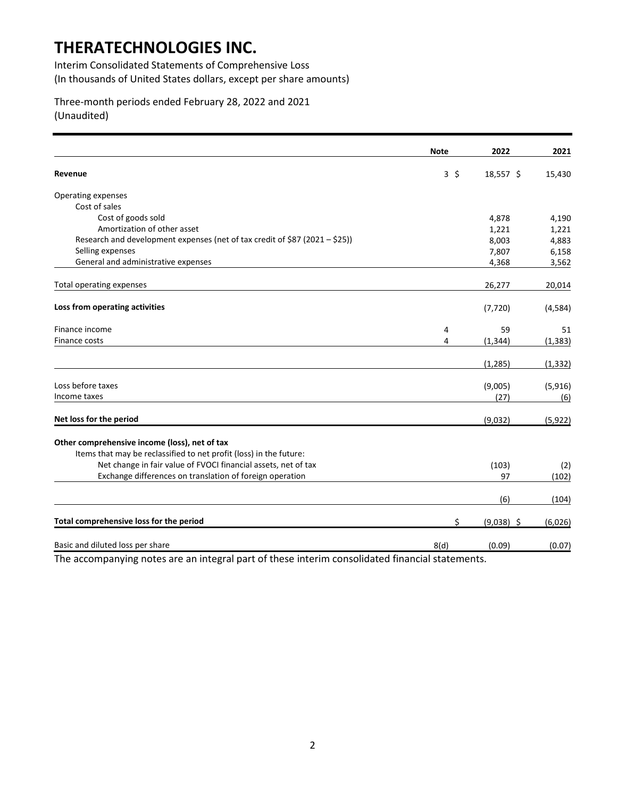Interim Consolidated Statements of Comprehensive Loss (In thousands of United States dollars, except per share amounts)

Three-month periods ended February 28, 2022 and 2021 (Unaudited)

|                                                                             | <b>Note</b>  | 2022         | 2021     |
|-----------------------------------------------------------------------------|--------------|--------------|----------|
| Revenue                                                                     | $3 \; \zeta$ | 18,557 \$    | 15,430   |
| Operating expenses                                                          |              |              |          |
| Cost of sales                                                               |              |              |          |
| Cost of goods sold                                                          |              | 4,878        | 4,190    |
| Amortization of other asset                                                 |              | 1,221        | 1,221    |
| Research and development expenses (net of tax credit of \$87 (2021 - \$25)) |              | 8,003        | 4,883    |
| Selling expenses                                                            |              | 7,807        | 6,158    |
| General and administrative expenses                                         |              | 4,368        | 3,562    |
| Total operating expenses                                                    |              | 26,277       | 20,014   |
| Loss from operating activities                                              |              | (7, 720)     | (4,584)  |
| Finance income                                                              | 4            | 59           | 51       |
| Finance costs                                                               | 4            | (1, 344)     | (1, 383) |
|                                                                             |              | (1, 285)     | (1, 332) |
| Loss before taxes                                                           |              | (9,005)      | (5,916)  |
| Income taxes                                                                |              | (27)         | (6)      |
| Net loss for the period                                                     |              | (9,032)      | (5, 922) |
| Other comprehensive income (loss), net of tax                               |              |              |          |
| Items that may be reclassified to net profit (loss) in the future:          |              |              |          |
| Net change in fair value of FVOCI financial assets, net of tax              |              | (103)        | (2)      |
| Exchange differences on translation of foreign operation                    |              | 97           | (102)    |
|                                                                             |              | (6)          | (104)    |
| Total comprehensive loss for the period                                     | \$           | $(9,038)$ \$ | (6,026)  |
| Basic and diluted loss per share                                            | 8(d)         | (0.09)       | (0.07)   |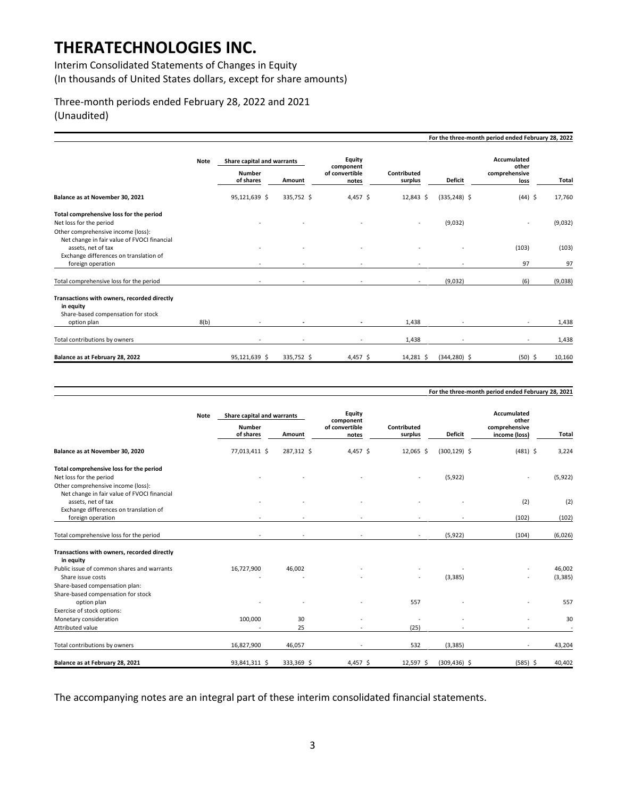Interim Consolidated Statements of Changes in Equity (In thousands of United States dollars, except for share amounts)

### Three-month periods ended February 28, 2022 and 2021 (Unaudited)

|                                                                                                                                  |             |                                                          |            |                                                |                        |                 | For the three-month period ended February 28, 2022   |             |
|----------------------------------------------------------------------------------------------------------------------------------|-------------|----------------------------------------------------------|------------|------------------------------------------------|------------------------|-----------------|------------------------------------------------------|-------------|
|                                                                                                                                  | <b>Note</b> | Share capital and warrants<br><b>Number</b><br>of shares | Amount     | Equity<br>component<br>of convertible<br>notes | Contributed<br>surplus | <b>Deficit</b>  | <b>Accumulated</b><br>other<br>comprehensive<br>loss | Total       |
| Balance as at November 30, 2021                                                                                                  |             | 95,121,639 \$                                            | 335,752 \$ | 4,457 \$                                       | 12,843 \$              | $(335, 248)$ \$ | $(44)$ \$                                            | 17,760      |
| Total comprehensive loss for the period<br>Net loss for the period<br>Other comprehensive income (loss):                         |             |                                                          |            |                                                |                        | (9,032)         | ٠                                                    | (9,032)     |
| Net change in fair value of FVOCI financial<br>assets, net of tax<br>Exchange differences on translation of<br>foreign operation |             |                                                          |            |                                                |                        |                 | (103)<br>97                                          | (103)<br>97 |
| Total comprehensive loss for the period                                                                                          |             |                                                          |            |                                                |                        | (9,032)         | (6)                                                  | (9,038)     |
| Transactions with owners, recorded directly<br>in equity<br>Share-based compensation for stock<br>option plan                    | 8(b)        |                                                          |            |                                                | 1,438                  |                 |                                                      | 1,438       |
| Total contributions by owners                                                                                                    |             |                                                          |            | $\overline{\phantom{a}}$                       | 1,438                  |                 | ٠                                                    | 1,438       |
| Balance as at February 28, 2022                                                                                                  |             | 95,121,639 \$                                            | 335,752 \$ | 4,457 \$                                       | 14,281 \$              | $(344, 280)$ \$ | $(50)$ \$                                            | 10,160      |

|                                                                                                             | <b>Note</b> | Share capital and warrants |                          | Equity                               |                        |                 | Accumulated                             |          |
|-------------------------------------------------------------------------------------------------------------|-------------|----------------------------|--------------------------|--------------------------------------|------------------------|-----------------|-----------------------------------------|----------|
|                                                                                                             |             | <b>Number</b><br>of shares | Amount                   | component<br>of convertible<br>notes | Contributed<br>surplus | <b>Deficit</b>  | other<br>comprehensive<br>income (loss) | Total    |
| Balance as at November 30, 2020                                                                             |             | 77,013,411 \$              | 287,312 \$               | 4,457 \$                             | 12,065 \$              | $(300, 129)$ \$ | $(481)$ \$                              | 3,224    |
| Total comprehensive loss for the period<br>Net loss for the period<br>Other comprehensive income (loss):    |             |                            |                          |                                      |                        | (5, 922)        |                                         | (5, 922) |
| Net change in fair value of FVOCI financial<br>assets, net of tax<br>Exchange differences on translation of |             |                            |                          |                                      |                        |                 | (2)                                     | (2)      |
| foreign operation                                                                                           |             | $\sim$                     | ٠                        | $\overline{\phantom{a}}$             |                        |                 | (102)                                   | (102)    |
| Total comprehensive loss for the period                                                                     |             | $\sim$                     | $\overline{\phantom{a}}$ | $\sim$                               | $\sim$                 | (5, 922)        | (104)                                   | (6,026)  |
| Transactions with owners, recorded directly<br>in equity                                                    |             |                            |                          |                                      |                        |                 |                                         |          |
| Public issue of common shares and warrants                                                                  |             | 16,727,900                 | 46,002                   |                                      |                        |                 |                                         | 46,002   |
| Share issue costs                                                                                           |             |                            |                          |                                      |                        | (3, 385)        |                                         | (3, 385) |
| Share-based compensation plan:<br>Share-based compensation for stock<br>option plan                         |             |                            |                          |                                      | 557                    |                 |                                         | 557      |
| Exercise of stock options:                                                                                  |             |                            |                          |                                      |                        |                 |                                         |          |
| Monetary consideration                                                                                      |             | 100,000                    | 30                       |                                      |                        |                 |                                         | 30       |
| Attributed value                                                                                            |             |                            | 25                       |                                      | (25)                   |                 | $\sim$                                  |          |
| Total contributions by owners                                                                               |             | 16,827,900                 | 46,057                   | $\overline{\phantom{a}}$             | 532                    | (3, 385)        | $\sim$                                  | 43,204   |
| Balance as at February 28, 2021                                                                             |             | 93,841,311 \$              | 333,369 \$               | $4,457$ \$                           | 12,597 \$              | $(309, 436)$ \$ | $(585)$ \$                              | 40,402   |

**For the three-month period ended February 28, 2021**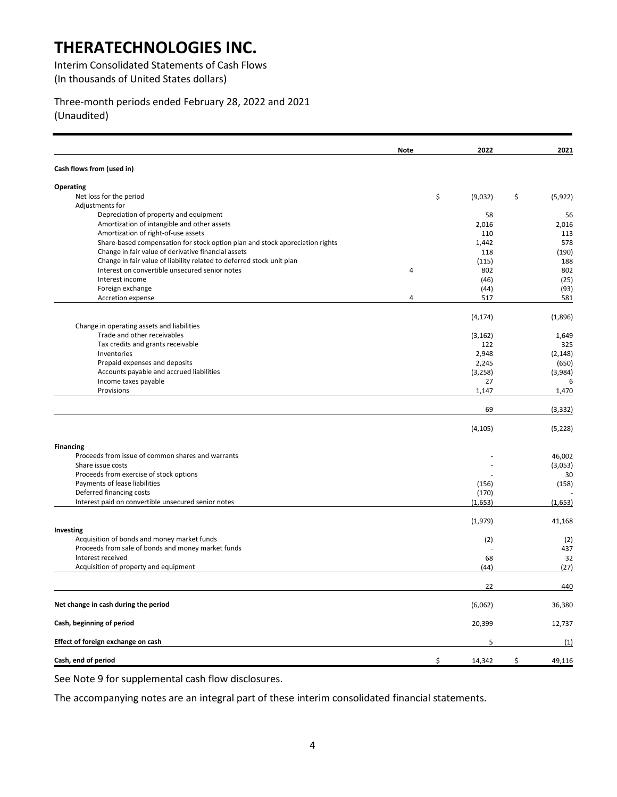Interim Consolidated Statements of Cash Flows (In thousands of United States dollars)

Three-month periods ended February 28, 2022 and 2021 (Unaudited)

|                                                                              | Note | 2022          | 2021           |
|------------------------------------------------------------------------------|------|---------------|----------------|
| Cash flows from (used in)                                                    |      |               |                |
| <b>Operating</b>                                                             |      |               |                |
| Net loss for the period                                                      |      | \$<br>(9,032) | \$<br>(5, 922) |
| Adjustments for                                                              |      |               |                |
| Depreciation of property and equipment                                       |      | 58            | 56             |
| Amortization of intangible and other assets                                  |      | 2,016         | 2,016          |
| Amortization of right-of-use assets                                          |      | 110           | 113            |
| Share-based compensation for stock option plan and stock appreciation rights |      | 1,442         | 578            |
| Change in fair value of derivative financial assets                          |      | 118           | (190)          |
| Change in fair value of liability related to deferred stock unit plan        |      | (115)         | 188            |
| Interest on convertible unsecured senior notes                               | 4    | 802           | 802            |
| Interest income                                                              |      | (46)          | (25)           |
| Foreign exchange                                                             |      | (44)          | (93)           |
| Accretion expense                                                            | 4    | 517           | 581            |
|                                                                              |      | (4, 174)      | (1,896)        |
| Change in operating assets and liabilities                                   |      |               |                |
| Trade and other receivables                                                  |      | (3, 162)      | 1,649          |
| Tax credits and grants receivable                                            |      | 122           | 325            |
| Inventories                                                                  |      | 2,948         | (2, 148)       |
| Prepaid expenses and deposits                                                |      | 2,245         | (650)          |
| Accounts payable and accrued liabilities                                     |      | (3,258)       | (3,984)        |
| Income taxes payable<br>Provisions                                           |      | 27            | 6              |
|                                                                              |      | 1,147         | 1,470          |
|                                                                              |      | 69            | (3, 332)       |
|                                                                              |      | (4, 105)      | (5, 228)       |
| <b>Financing</b>                                                             |      |               |                |
| Proceeds from issue of common shares and warrants                            |      |               | 46,002         |
| Share issue costs                                                            |      |               | (3,053)        |
| Proceeds from exercise of stock options                                      |      |               | 30             |
| Payments of lease liabilities                                                |      | (156)         | (158)          |
| Deferred financing costs                                                     |      | (170)         |                |
| Interest paid on convertible unsecured senior notes                          |      | (1,653)       | (1,653)        |
|                                                                              |      | (1,979)       | 41,168         |
| Investing                                                                    |      |               |                |
| Acquisition of bonds and money market funds                                  |      | (2)           | (2)            |
| Proceeds from sale of bonds and money market funds                           |      |               | 437            |
| Interest received                                                            |      | 68            | 32             |
| Acquisition of property and equipment                                        |      | (44)          | (27)           |
|                                                                              |      | 22            | 440            |
| Net change in cash during the period                                         |      | (6,062)       | 36,380         |
| Cash, beginning of period                                                    |      | 20,399        | 12,737         |
| Effect of foreign exchange on cash                                           |      | 5             | (1)            |
| Cash, end of period                                                          |      | \$<br>14,342  | \$<br>49,116   |

See Note 9 for supplemental cash flow disclosures.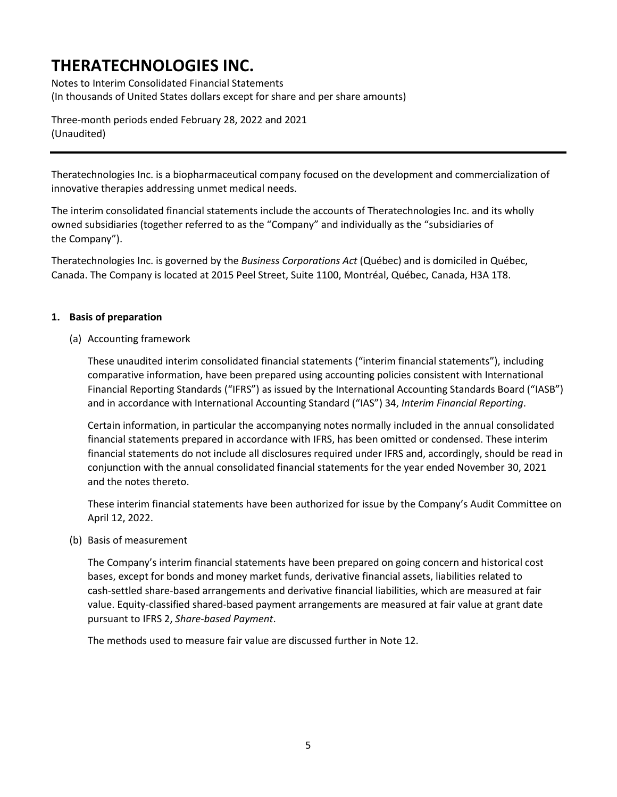Notes to Interim Consolidated Financial Statements (In thousands of United States dollars except for share and per share amounts)

Three-month periods ended February 28, 2022 and 2021 (Unaudited)

Theratechnologies Inc. is a biopharmaceutical company focused on the development and commercialization of innovative therapies addressing unmet medical needs.

The interim consolidated financial statements include the accounts of Theratechnologies Inc. and its wholly owned subsidiaries (together referred to as the "Company" and individually as the "subsidiaries of the Company").

Theratechnologies Inc. is governed by the *Business Corporations Act* (Québec) and is domiciled in Québec, Canada. The Company is located at 2015 Peel Street, Suite 1100, Montréal, Québec, Canada, H3A 1T8.

### **1. Basis of preparation**

(a) Accounting framework

These unaudited interim consolidated financial statements ("interim financial statements"), including comparative information, have been prepared using accounting policies consistent with International Financial Reporting Standards ("IFRS") as issued by the International Accounting Standards Board ("IASB") and in accordance with International Accounting Standard ("IAS") 34, *Interim Financial Reporting*.

Certain information, in particular the accompanying notes normally included in the annual consolidated financial statements prepared in accordance with IFRS, has been omitted or condensed. These interim financial statements do not include all disclosures required under IFRS and, accordingly, should be read in conjunction with the annual consolidated financial statements for the year ended November 30, 2021 and the notes thereto.

These interim financial statements have been authorized for issue by the Company's Audit Committee on April 12, 2022.

(b) Basis of measurement

The Company's interim financial statements have been prepared on going concern and historical cost bases, except for bonds and money market funds, derivative financial assets, liabilities related to cash-settled share-based arrangements and derivative financial liabilities, which are measured at fair value. Equity-classified shared-based payment arrangements are measured at fair value at grant date pursuant to IFRS 2, *Share-based Payment*.

The methods used to measure fair value are discussed further in Note 12.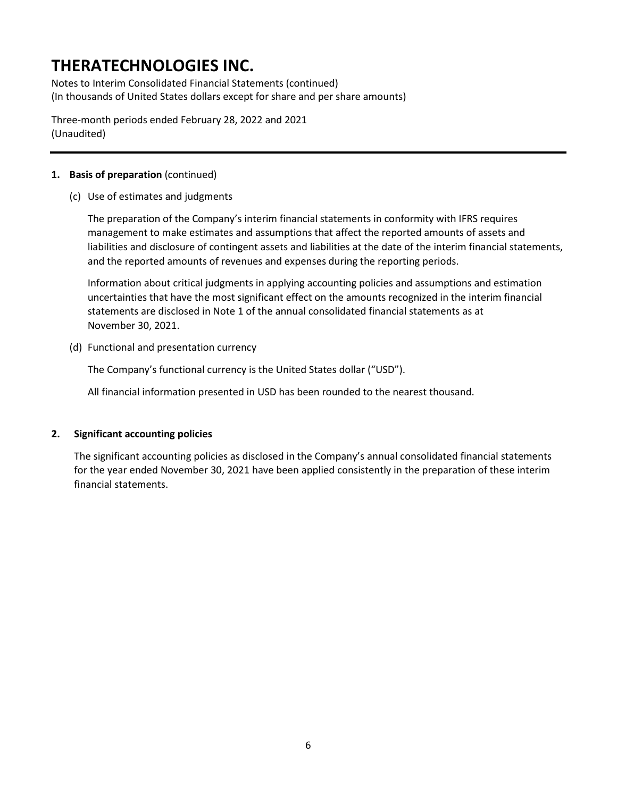Notes to Interim Consolidated Financial Statements (continued) (In thousands of United States dollars except for share and per share amounts)

Three-month periods ended February 28, 2022 and 2021 (Unaudited)

### **1. Basis of preparation** (continued)

(c) Use of estimates and judgments

The preparation of the Company's interim financial statements in conformity with IFRS requires management to make estimates and assumptions that affect the reported amounts of assets and liabilities and disclosure of contingent assets and liabilities at the date of the interim financial statements, and the reported amounts of revenues and expenses during the reporting periods.

Information about critical judgments in applying accounting policies and assumptions and estimation uncertainties that have the most significant effect on the amounts recognized in the interim financial statements are disclosed in Note 1 of the annual consolidated financial statements as at November 30, 2021.

(d) Functional and presentation currency

The Company's functional currency is the United States dollar ("USD").

All financial information presented in USD has been rounded to the nearest thousand.

### **2. Significant accounting policies**

The significant accounting policies as disclosed in the Company's annual consolidated financial statements for the year ended November 30, 2021 have been applied consistently in the preparation of these interim financial statements.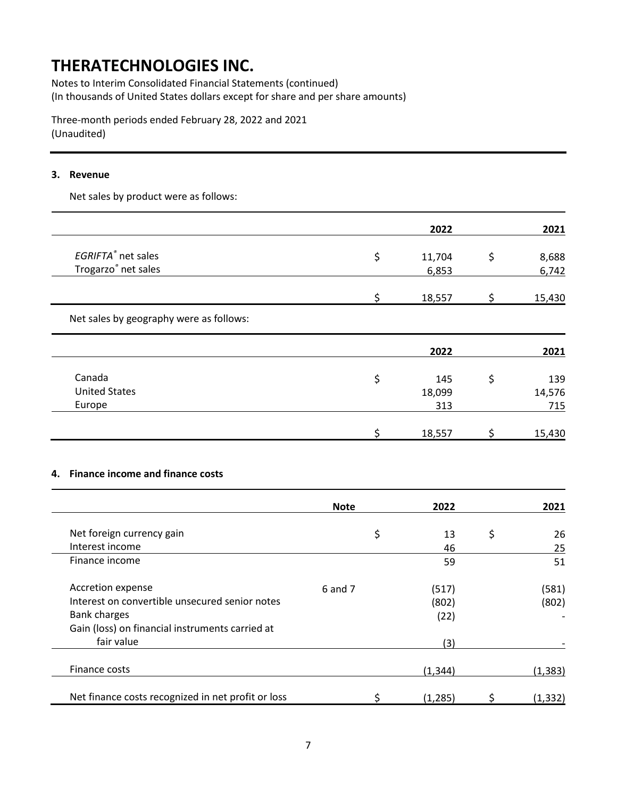Notes to Interim Consolidated Financial Statements (continued) (In thousands of United States dollars except for share and per share amounts)

Three-month periods ended February 28, 2022 and 2021 (Unaudited)

#### **3. Revenue**

Net sales by product were as follows:

|                                         |   | 2022   | 2021   |
|-----------------------------------------|---|--------|--------|
| EGRIFTA® net sales                      | Ś | 11,704 | 8,688  |
| Trogarzo® net sales                     |   | 6,853  | 6,742  |
|                                         |   | 18,557 | 15,430 |
| Net sales by geography were as follows: |   |        |        |

|                      | 2022   | 2021   |
|----------------------|--------|--------|
| Canada               | 145    | 139    |
| <b>United States</b> | 18,099 | 14,576 |
| Europe               | 313    | 715    |
|                      | 18,557 | 15,430 |

#### **4. Finance income and finance costs**

|                                                    | <b>Note</b> | 2022     | 2021     |
|----------------------------------------------------|-------------|----------|----------|
| Net foreign currency gain                          | \$          | 13       | \$<br>26 |
| Interest income                                    |             | 46       | 25       |
| Finance income                                     |             | 59       | 51       |
| Accretion expense                                  | 6 and 7     | (517)    | (581)    |
| Interest on convertible unsecured senior notes     |             | (802)    | (802)    |
| <b>Bank charges</b>                                |             | (22)     |          |
| Gain (loss) on financial instruments carried at    |             |          |          |
| fair value                                         |             | (3)      |          |
| Finance costs                                      |             | (1, 344) | (1, 383) |
| Net finance costs recognized in net profit or loss |             | (1, 285) | (1, 332) |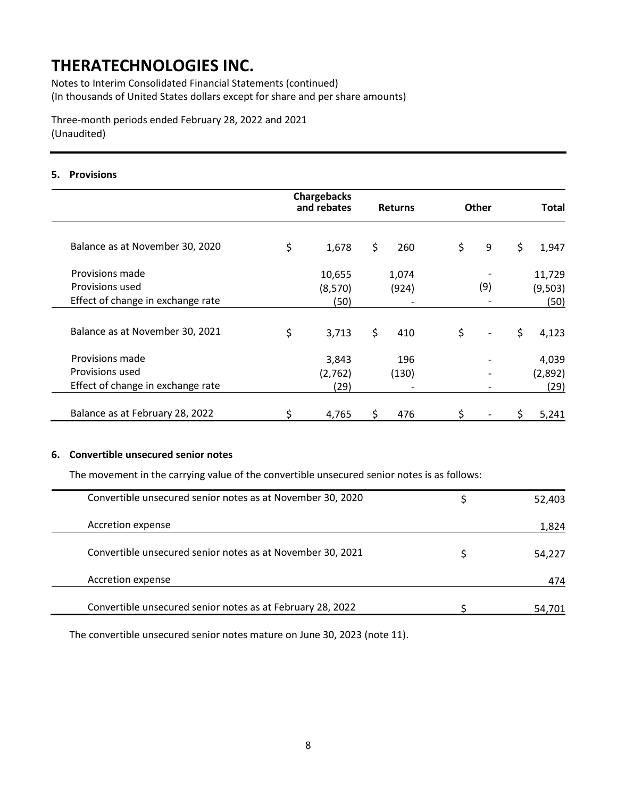Notes to Interim Consolidated Financial Statements (continued) (In thousands of United States dollars except for share and per share amounts)

Three-month periods ended February 28, 2022 and 2021 (Unaudited)

#### **5. Provisions**

|                                   | <b>Chargebacks</b><br>and rebates | <b>Returns</b> | <b>Other</b>         | Total       |
|-----------------------------------|-----------------------------------|----------------|----------------------|-------------|
| Balance as at November 30, 2020   | \$<br>1,678                       | \$<br>260      | \$<br>9              | \$<br>1,947 |
| Provisions made                   | 10,655                            | 1,074          |                      | 11,729      |
| Provisions used                   | (8,570)                           | (924)          | (9)                  | (9,503)     |
| Effect of change in exchange rate | (50)                              |                |                      | (50)        |
| Balance as at November 30, 2021   | \$<br>3,713                       | \$<br>410      | \$<br>$\overline{a}$ | \$<br>4,123 |
| Provisions made                   | 3,843                             | 196            |                      | 4,039       |
| Provisions used                   | (2,762)                           | (130)          |                      | (2,892)     |
| Effect of change in exchange rate | (29)                              |                |                      | (29)        |
| Balance as at February 28, 2022   | 4,765                             | 476            |                      | 5,241       |

### **6. Convertible unsecured senior notes**

The movement in the carrying value of the convertible unsecured senior notes is as follows:

| Convertible unsecured senior notes as at November 30, 2020 | 52,403 |
|------------------------------------------------------------|--------|
|                                                            |        |
|                                                            |        |
| Accretion expense                                          | 1,824  |
|                                                            |        |
| Convertible unsecured senior notes as at November 30, 2021 | 54.227 |
|                                                            |        |
|                                                            |        |
| Accretion expense                                          | 474    |
|                                                            |        |
|                                                            |        |
| Convertible unsecured senior notes as at February 28, 2022 |        |
|                                                            |        |

The convertible unsecured senior notes mature on June 30, 2023 (note 11).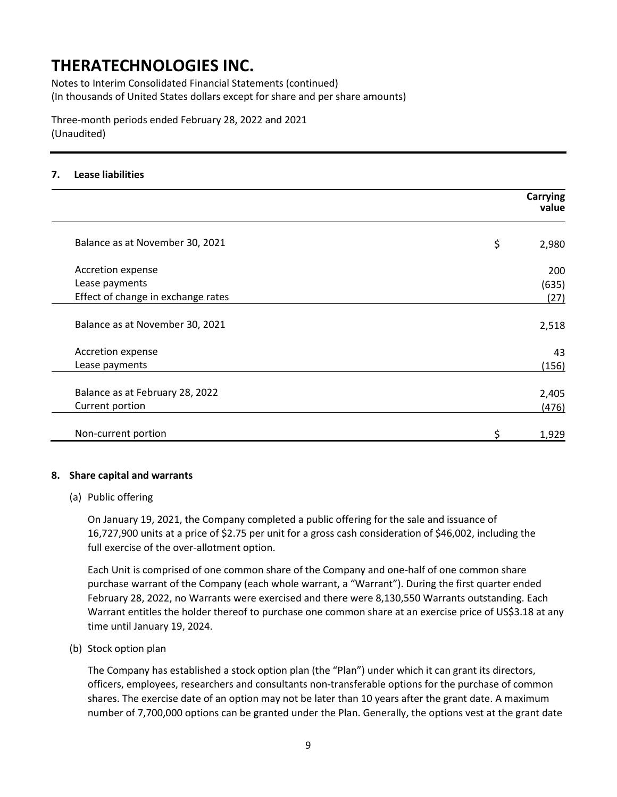Notes to Interim Consolidated Financial Statements (continued) (In thousands of United States dollars except for share and per share amounts)

Three-month periods ended February 28, 2022 and 2021 (Unaudited)

### **7. Lease liabilities**

|                                    | <b>Carrying</b><br>value |
|------------------------------------|--------------------------|
| Balance as at November 30, 2021    | \$<br>2,980              |
| Accretion expense                  | 200                      |
| Lease payments                     | (635)                    |
| Effect of change in exchange rates | (27)                     |
| Balance as at November 30, 2021    | 2,518                    |
| Accretion expense                  | 43                       |
| Lease payments                     | (156)                    |
| Balance as at February 28, 2022    | 2,405                    |
| Current portion                    | (476)                    |
| Non-current portion                | \$<br>1,929              |

#### **8. Share capital and warrants**

#### (a) Public offering

On January 19, 2021, the Company completed a public offering for the sale and issuance of 16,727,900 units at a price of \$2.75 per unit for a gross cash consideration of \$46,002, including the full exercise of the over-allotment option.

Each Unit is comprised of one common share of the Company and one-half of one common share purchase warrant of the Company (each whole warrant, a "Warrant"). During the first quarter ended February 28, 2022, no Warrants were exercised and there were 8,130,550 Warrants outstanding. Each Warrant entitles the holder thereof to purchase one common share at an exercise price of US\$3.18 at any time until January 19, 2024.

#### (b) Stock option plan

The Company has established a stock option plan (the "Plan") under which it can grant its directors, officers, employees, researchers and consultants non-transferable options for the purchase of common shares. The exercise date of an option may not be later than 10 years after the grant date. A maximum number of 7,700,000 options can be granted under the Plan. Generally, the options vest at the grant date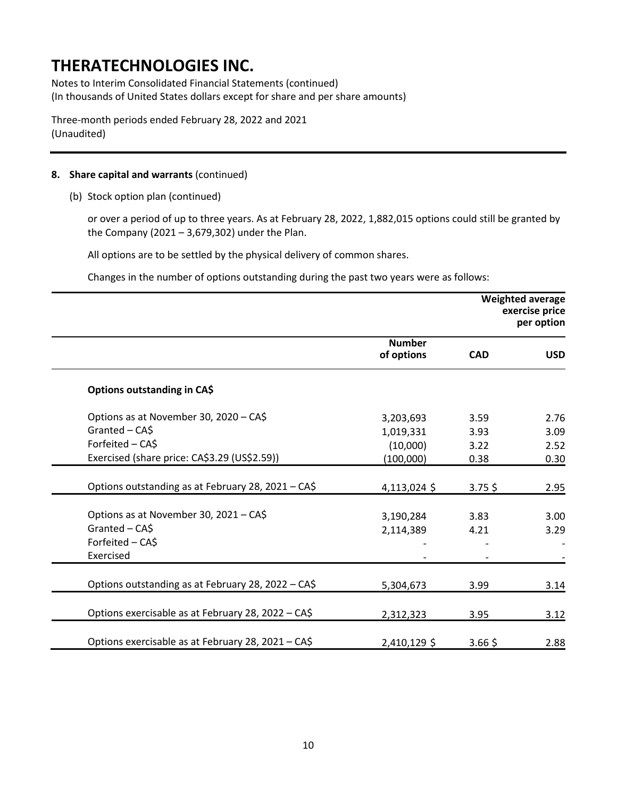Notes to Interim Consolidated Financial Statements (continued) (In thousands of United States dollars except for share and per share amounts)

Three-month periods ended February 28, 2022 and 2021 (Unaudited)

### **8. Share capital and warrants** (continued)

(b) Stock option plan (continued)

or over a period of up to three years. As at February 28, 2022, 1,882,015 options could still be granted by the Company (2021 – 3,679,302) under the Plan.

All options are to be settled by the physical delivery of common shares.

Changes in the number of options outstanding during the past two years were as follows:

|                                                    |                             | <b>Weighted average</b><br>exercise price<br>per option |            |
|----------------------------------------------------|-----------------------------|---------------------------------------------------------|------------|
|                                                    | <b>Number</b><br>of options | <b>CAD</b>                                              | <b>USD</b> |
| Options outstanding in CA\$                        |                             |                                                         |            |
| Options as at November 30, 2020 - CA\$             | 3,203,693                   | 3.59                                                    | 2.76       |
| Granted - CA\$                                     | 1,019,331                   | 3.93                                                    | 3.09       |
| Forfeited - CA\$                                   | (10,000)                    | 3.22                                                    | 2.52       |
| Exercised (share price: CA\$3.29 (US\$2.59))       | (100,000)                   | 0.38                                                    | 0.30       |
| Options outstanding as at February 28, 2021 - CA\$ | 4,113,024 \$                | $3.75$ \$                                               | 2.95       |
| Options as at November 30, 2021 - CA\$             | 3,190,284                   | 3.83                                                    | 3.00       |
| Granted - CA\$                                     | 2,114,389                   | 4.21                                                    | 3.29       |
| Forfeited - CA\$                                   |                             |                                                         |            |
| Exercised                                          |                             |                                                         |            |
| Options outstanding as at February 28, 2022 - CA\$ | 5,304,673                   | 3.99                                                    | 3.14       |
| Options exercisable as at February 28, 2022 - CA\$ | 2,312,323                   | 3.95                                                    | 3.12       |
| Options exercisable as at February 28, 2021 - CA\$ | 2,410,129 \$                | $3.66$ \$                                               | 2.88       |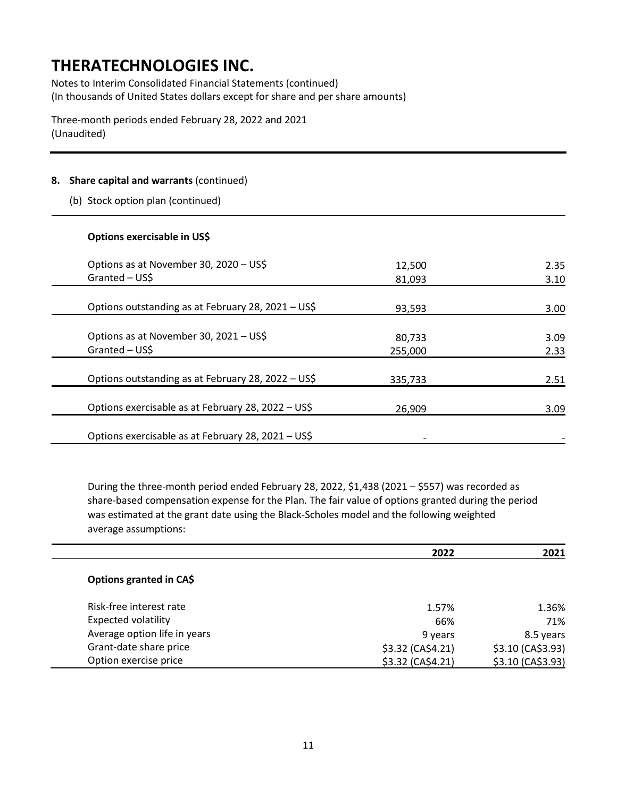Notes to Interim Consolidated Financial Statements (continued) (In thousands of United States dollars except for share and per share amounts)

Three-month periods ended February 28, 2022 and 2021 (Unaudited)

### **8. Share capital and warrants** (continued)

(b) Stock option plan (continued)

### **Options exercisable in US\$**

Î,

Ĭ.

| Options as at November 30, 2020 - US\$             | 12,500  | 2.35 |
|----------------------------------------------------|---------|------|
| Granted - US\$                                     | 81,093  | 3.10 |
|                                                    |         |      |
| Options outstanding as at February 28, 2021 - US\$ | 93,593  | 3.00 |
| Options as at November 30, 2021 - US\$             | 80,733  | 3.09 |
| Granted - US\$                                     | 255,000 | 2.33 |
| Options outstanding as at February 28, 2022 - US\$ | 335,733 | 2.51 |
| Options exercisable as at February 28, 2022 - US\$ | 26,909  | 3.09 |
| Options exercisable as at February 28, 2021 - US\$ |         |      |

During the three-month period ended February 28, 2022, \$1,438 (2021 – \$557) was recorded as share-based compensation expense for the Plan. The fair value of options granted during the period was estimated at the grant date using the Black-Scholes model and the following weighted average assumptions:

|                              | 2022              | 2021              |
|------------------------------|-------------------|-------------------|
| Options granted in CA\$      |                   |                   |
| Risk-free interest rate      | 1.57%             | 1.36%             |
| <b>Expected volatility</b>   | 66%               | 71%               |
| Average option life in years | 9 years           | 8.5 years         |
| Grant-date share price       | \$3.32 (CA\$4.21) | \$3.10 (CA\$3.93) |
| Option exercise price        | \$3.32 (CA\$4.21) | \$3.10 (CA\$3.93) |
|                              |                   |                   |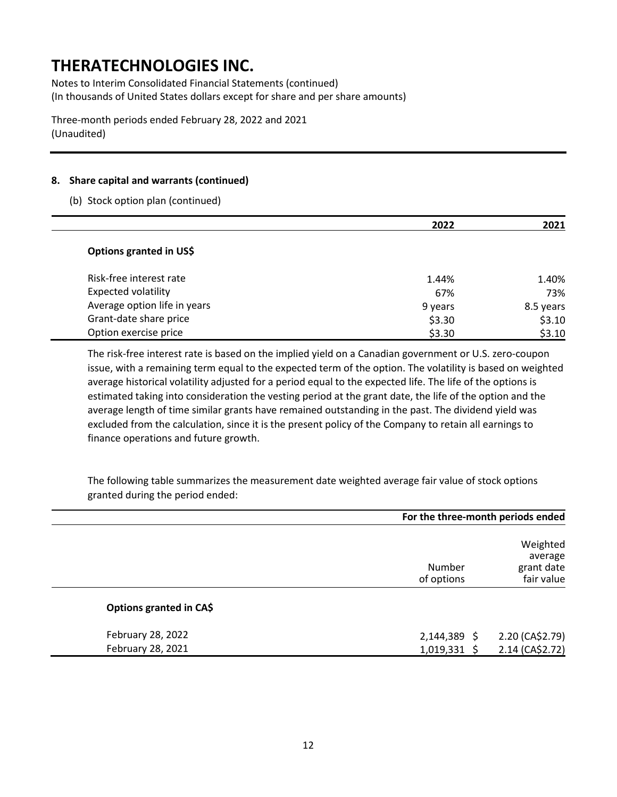Notes to Interim Consolidated Financial Statements (continued) (In thousands of United States dollars except for share and per share amounts)

Three-month periods ended February 28, 2022 and 2021 (Unaudited)

### **8. Share capital and warrants (continued)**

(b) Stock option plan (continued)

|                              | 2022    | 2021      |
|------------------------------|---------|-----------|
| Options granted in US\$      |         |           |
| Risk-free interest rate      | 1.44%   | 1.40%     |
| <b>Expected volatility</b>   | 67%     | 73%       |
| Average option life in years | 9 years | 8.5 years |
| Grant-date share price       | \$3.30  | \$3.10    |
| Option exercise price        | \$3.30  | \$3.10    |

The risk-free interest rate is based on the implied yield on a Canadian government or U.S. zero-coupon issue, with a remaining term equal to the expected term of the option. The volatility is based on weighted average historical volatility adjusted for a period equal to the expected life. The life of the options is estimated taking into consideration the vesting period at the grant date, the life of the option and the average length of time similar grants have remained outstanding in the past. The dividend yield was excluded from the calculation, since it is the present policy of the Company to retain all earnings to finance operations and future growth.

The following table summarizes the measurement date weighted average fair value of stock options granted during the period ended:

|                                        | For the three-month periods ended |                                                 |  |
|----------------------------------------|-----------------------------------|-------------------------------------------------|--|
|                                        | Number<br>of options              | Weighted<br>average<br>grant date<br>fair value |  |
| Options granted in CA\$                |                                   |                                                 |  |
| February 28, 2022<br>February 28, 2021 | $2,144,389$ \$<br>1,019,331 \$    | 2.20 (CA\$2.79)<br>2.14 (CA\$2.72)              |  |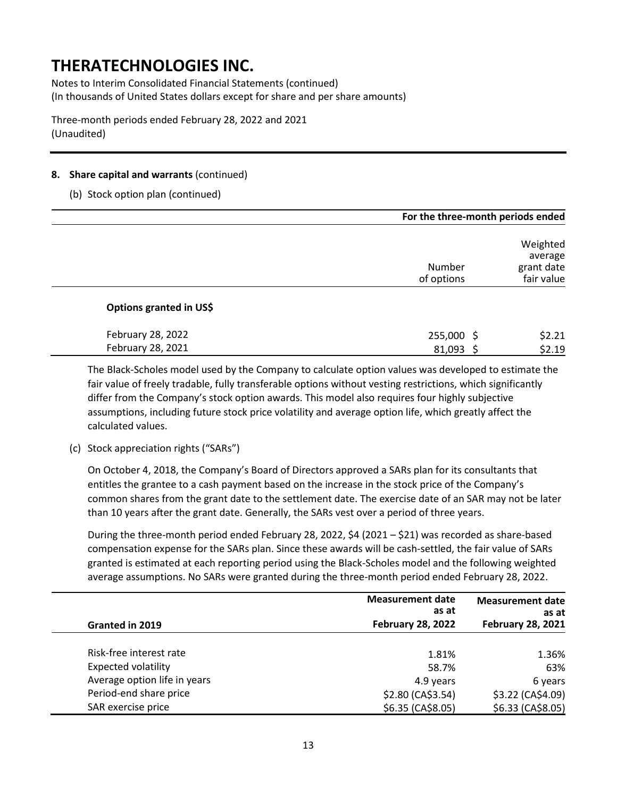Notes to Interim Consolidated Financial Statements (continued) (In thousands of United States dollars except for share and per share amounts)

Three-month periods ended February 28, 2022 and 2021 (Unaudited)

### **8. Share capital and warrants** (continued)

### (b) Stock option plan (continued)

|                         |                      | For the three-month periods ended               |  |  |
|-------------------------|----------------------|-------------------------------------------------|--|--|
|                         | Number<br>of options | Weighted<br>average<br>grant date<br>fair value |  |  |
| Options granted in US\$ |                      |                                                 |  |  |
| February 28, 2022       | 255,000 \$           | \$2.21                                          |  |  |
| February 28, 2021       | 81,093               | \$2.19                                          |  |  |

The Black-Scholes model used by the Company to calculate option values was developed to estimate the fair value of freely tradable, fully transferable options without vesting restrictions, which significantly differ from the Company's stock option awards. This model also requires four highly subjective assumptions, including future stock price volatility and average option life, which greatly affect the calculated values.

### (c) Stock appreciation rights ("SARs")

On October 4, 2018, the Company's Board of Directors approved a SARs plan for its consultants that entitles the grantee to a cash payment based on the increase in the stock price of the Company's common shares from the grant date to the settlement date. The exercise date of an SAR may not be later than 10 years after the grant date. Generally, the SARs vest over a period of three years.

During the three-month period ended February 28, 2022, \$4 (2021 – \$21) was recorded as share-based compensation expense for the SARs plan. Since these awards will be cash-settled, the fair value of SARs granted is estimated at each reporting period using the Black-Scholes model and the following weighted average assumptions. No SARs were granted during the three-month period ended February 28, 2022.

|                              | <b>Measurement date</b><br>as at | <b>Measurement date</b><br>as at |
|------------------------------|----------------------------------|----------------------------------|
| Granted in 2019              | <b>February 28, 2022</b>         | <b>February 28, 2021</b>         |
| Risk-free interest rate      | 1.81%                            | 1.36%                            |
| <b>Expected volatility</b>   | 58.7%                            | 63%                              |
| Average option life in years | 4.9 years                        | 6 years                          |
| Period-end share price       | \$2.80 (CA\$3.54)                | \$3.22 (CA\$4.09)                |
| SAR exercise price           | \$6.35 (CA\$8.05)                | \$6.33 (CA\$8.05)                |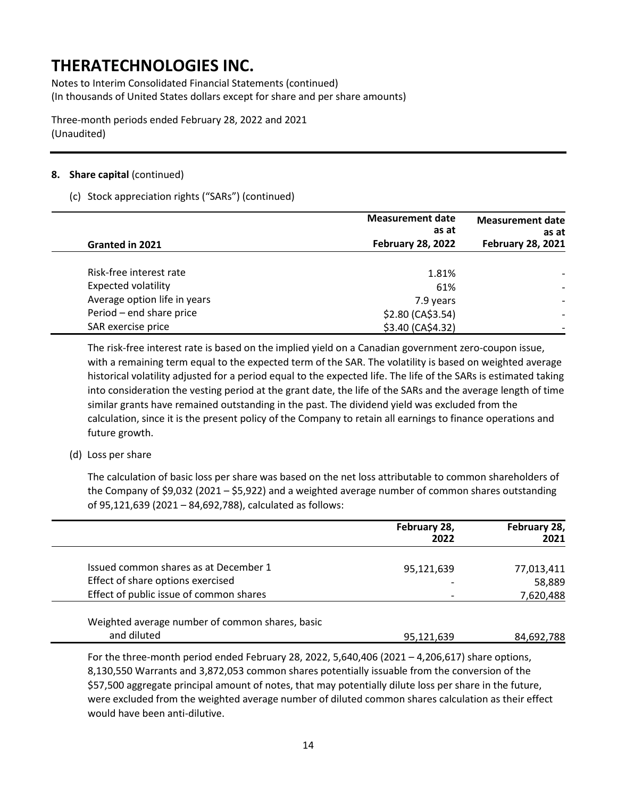Notes to Interim Consolidated Financial Statements (continued) (In thousands of United States dollars except for share and per share amounts)

Three-month periods ended February 28, 2022 and 2021 (Unaudited)

### **8. Share capital** (continued)

### (c) Stock appreciation rights ("SARs") (continued)

|                              | <b>Measurement date</b><br>as at<br><b>February 28, 2022</b> | <b>Measurement date</b><br>as at<br><b>February 28, 2021</b> |
|------------------------------|--------------------------------------------------------------|--------------------------------------------------------------|
| Granted in 2021              |                                                              |                                                              |
| Risk-free interest rate      | 1.81%                                                        |                                                              |
| <b>Expected volatility</b>   | 61%                                                          |                                                              |
| Average option life in years | 7.9 years                                                    |                                                              |
| Period - end share price     | \$2.80 (CA\$3.54)                                            |                                                              |
| SAR exercise price           | \$3.40 (CA\$4.32)                                            |                                                              |

The risk-free interest rate is based on the implied yield on a Canadian government zero-coupon issue, with a remaining term equal to the expected term of the SAR. The volatility is based on weighted average historical volatility adjusted for a period equal to the expected life. The life of the SARs is estimated taking into consideration the vesting period at the grant date, the life of the SARs and the average length of time similar grants have remained outstanding in the past. The dividend yield was excluded from the calculation, since it is the present policy of the Company to retain all earnings to finance operations and future growth.

### (d) Loss per share

The calculation of basic loss per share was based on the net loss attributable to common shareholders of the Company of \$9,032 (2021 – \$5,922) and a weighted average number of common shares outstanding of 95,121,639 (2021 – 84,692,788), calculated as follows:

|                                         | February 28,<br>2022     | February 28,<br>2021 |
|-----------------------------------------|--------------------------|----------------------|
| Issued common shares as at December 1   | 95,121,639               | 77,013,411           |
| Effect of share options exercised       |                          | 58,889               |
| Effect of public issue of common shares | $\overline{\phantom{0}}$ | 7,620,488            |

Weighted average number of common shares, basic and diluted 84,692,788 and diluted 84,692,788

For the three-month period ended February 28, 2022, 5,640,406 (2021 – 4,206,617) share options, 8,130,550 Warrants and 3,872,053 common shares potentially issuable from the conversion of the \$57,500 aggregate principal amount of notes, that may potentially dilute loss per share in the future, were excluded from the weighted average number of diluted common shares calculation as their effect would have been anti-dilutive.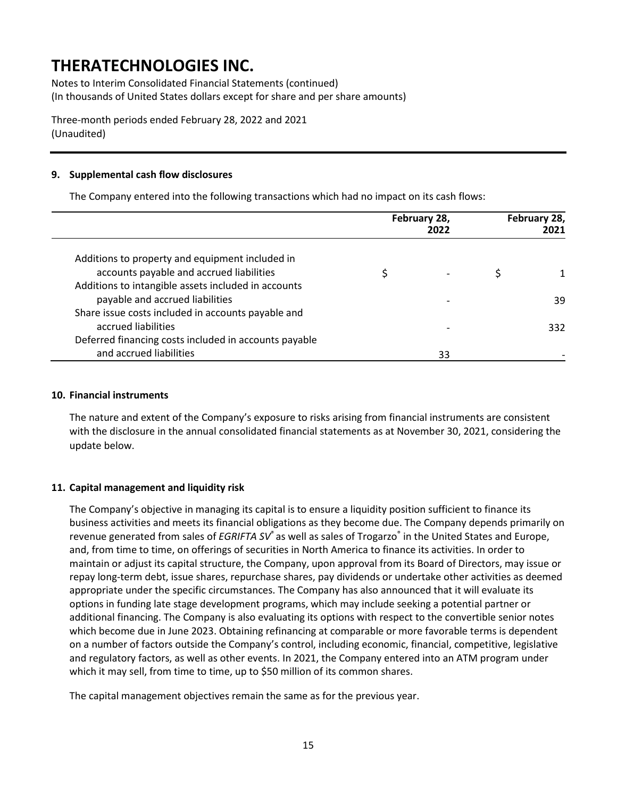Notes to Interim Consolidated Financial Statements (continued) (In thousands of United States dollars except for share and per share amounts)

Three-month periods ended February 28, 2022 and 2021 (Unaudited)

### **9. Supplemental cash flow disclosures**

The Company entered into the following transactions which had no impact on its cash flows:

|                                                       | February 28,<br>2022 | February 28,<br>2021 |
|-------------------------------------------------------|----------------------|----------------------|
| Additions to property and equipment included in       |                      |                      |
| accounts payable and accrued liabilities              |                      |                      |
| Additions to intangible assets included in accounts   |                      |                      |
| payable and accrued liabilities                       |                      | 39                   |
| Share issue costs included in accounts payable and    |                      |                      |
| accrued liabilities                                   |                      | 332                  |
| Deferred financing costs included in accounts payable |                      |                      |
| and accrued liabilities                               | 33                   |                      |

#### **10. Financial instruments**

The nature and extent of the Company's exposure to risks arising from financial instruments are consistent with the disclosure in the annual consolidated financial statements as at November 30, 2021, considering the update below.

### **11. Capital management and liquidity risk**

The Company's objective in managing its capital is to ensure a liquidity position sufficient to finance its business activities and meets its financial obligations as they become due. The Company depends primarily on revenue generated from sales of *EGRIFTA SV*® as well as sales of Trogarzo® in the United States and Europe, and, from time to time, on offerings of securities in North America to finance its activities. In order to maintain or adjust its capital structure, the Company, upon approval from its Board of Directors, may issue or repay long-term debt, issue shares, repurchase shares, pay dividends or undertake other activities as deemed appropriate under the specific circumstances. The Company has also announced that it will evaluate its options in funding late stage development programs, which may include seeking a potential partner or additional financing. The Company is also evaluating its options with respect to the convertible senior notes which become due in June 2023. Obtaining refinancing at comparable or more favorable terms is dependent on a number of factors outside the Company's control, including economic, financial, competitive, legislative and regulatory factors, as well as other events. In 2021, the Company entered into an ATM program under which it may sell, from time to time, up to \$50 million of its common shares.

The capital management objectives remain the same as for the previous year.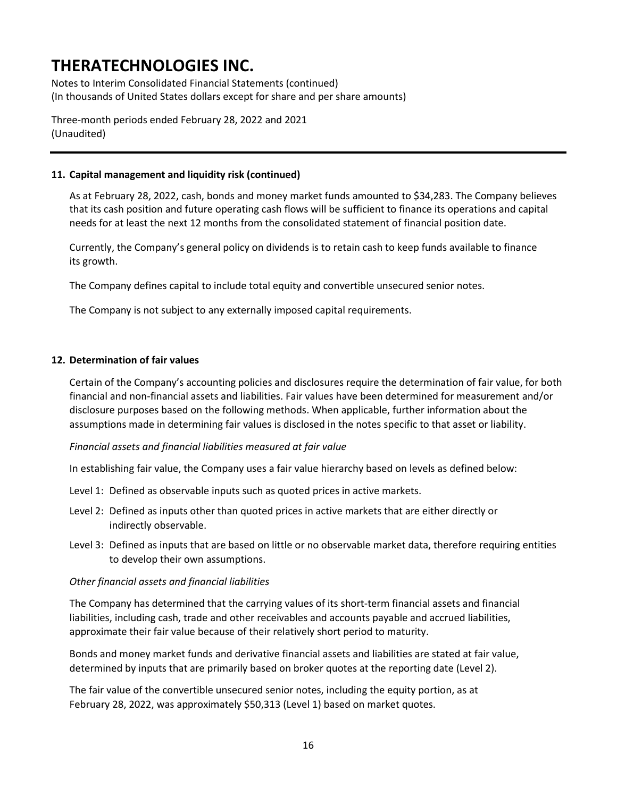Notes to Interim Consolidated Financial Statements (continued) (In thousands of United States dollars except for share and per share amounts)

Three-month periods ended February 28, 2022 and 2021 (Unaudited)

### **11. Capital management and liquidity risk (continued)**

As at February 28, 2022, cash, bonds and money market funds amounted to \$34,283. The Company believes that its cash position and future operating cash flows will be sufficient to finance its operations and capital needs for at least the next 12 months from the consolidated statement of financial position date.

Currently, the Company's general policy on dividends is to retain cash to keep funds available to finance its growth.

The Company defines capital to include total equity and convertible unsecured senior notes.

The Company is not subject to any externally imposed capital requirements.

#### **12. Determination of fair values**

Certain of the Company's accounting policies and disclosures require the determination of fair value, for both financial and non-financial assets and liabilities. Fair values have been determined for measurement and/or disclosure purposes based on the following methods. When applicable, further information about the assumptions made in determining fair values is disclosed in the notes specific to that asset or liability.

#### *Financial assets and financial liabilities measured at fair value*

In establishing fair value, the Company uses a fair value hierarchy based on levels as defined below:

- Level 1: Defined as observable inputs such as quoted prices in active markets.
- Level 2: Defined as inputs other than quoted prices in active markets that are either directly or indirectly observable.
- Level 3: Defined as inputs that are based on little or no observable market data, therefore requiring entities to develop their own assumptions.

#### *Other financial assets and financial liabilities*

The Company has determined that the carrying values of its short-term financial assets and financial liabilities, including cash, trade and other receivables and accounts payable and accrued liabilities, approximate their fair value because of their relatively short period to maturity.

Bonds and money market funds and derivative financial assets and liabilities are stated at fair value, determined by inputs that are primarily based on broker quotes at the reporting date (Level 2).

The fair value of the convertible unsecured senior notes, including the equity portion, as at February 28, 2022, was approximately \$50,313 (Level 1) based on market quotes.